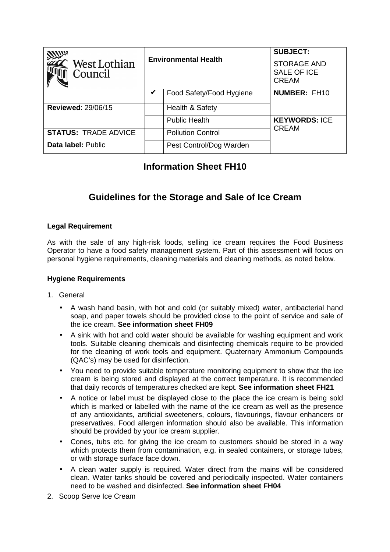| <b>VALUA</b><br>$\hat{ }$ West Lothian<br>Council | <b>Environmental Health</b> |                          | <b>SUBJECT:</b><br><b>STORAGE AND</b><br>SALE OF ICE<br><b>CREAM</b> |
|---------------------------------------------------|-----------------------------|--------------------------|----------------------------------------------------------------------|
|                                                   |                             | Food Safety/Food Hygiene | <b>NUMBER: FH10</b>                                                  |
| <b>Reviewed: 29/06/15</b>                         |                             | Health & Safety          |                                                                      |
|                                                   |                             | <b>Public Health</b>     | <b>KEYWORDS: ICE</b><br><b>CREAM</b>                                 |
| <b>STATUS: TRADE ADVICE</b>                       |                             | <b>Pollution Control</b> |                                                                      |
| <b>Data label: Public</b>                         |                             | Pest Control/Dog Warden  |                                                                      |

## **Information Sheet FH10**

# **Guidelines for the Storage and Sale of Ice Cream**

#### **Legal Requirement**

As with the sale of any high-risk foods, selling ice cream requires the Food Business Operator to have a food safety management system. Part of this assessment will focus on personal hygiene requirements, cleaning materials and cleaning methods, as noted below.

#### **Hygiene Requirements**

- 1. General
	- A wash hand basin, with hot and cold (or suitably mixed) water, antibacterial hand soap, and paper towels should be provided close to the point of service and sale of the ice cream. **See information sheet FH09**
	- A sink with hot and cold water should be available for washing equipment and work tools. Suitable cleaning chemicals and disinfecting chemicals require to be provided for the cleaning of work tools and equipment. Quaternary Ammonium Compounds (QAC's) may be used for disinfection.
	- You need to provide suitable temperature monitoring equipment to show that the ice cream is being stored and displayed at the correct temperature. It is recommended that daily records of temperatures checked are kept. **See information sheet FH21**
	- A notice or label must be displayed close to the place the ice cream is being sold which is marked or labelled with the name of the ice cream as well as the presence of any antioxidants, artificial sweeteners, colours, flavourings, flavour enhancers or preservatives. Food allergen information should also be available. This information should be provided by your ice cream supplier.
	- Cones, tubs etc. for giving the ice cream to customers should be stored in a way which protects them from contamination, e.g. in sealed containers, or storage tubes, or with storage surface face down.
	- A clean water supply is required. Water direct from the mains will be considered clean. Water tanks should be covered and periodically inspected. Water containers need to be washed and disinfected. **See information sheet FH04**
- 2. Scoop Serve Ice Cream